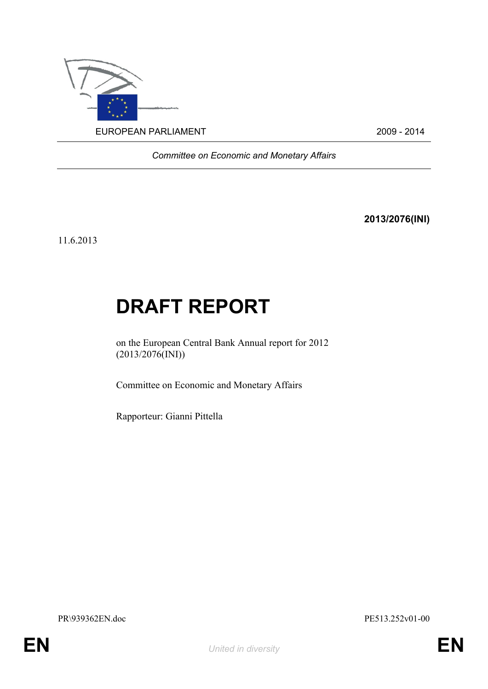

*Committee on Economic and Monetary Affairs*

**2013/2076(INI)**

11.6.2013

# **DRAFT REPORT**

on the European Central Bank Annual report for 2012 (2013/2076(INI))

Committee on Economic and Monetary Affairs

Rapporteur: Gianni Pittella

<span id="page-0-1"></span>PR\939362EN.doc PE513.252v01-00

<span id="page-0-0"></span>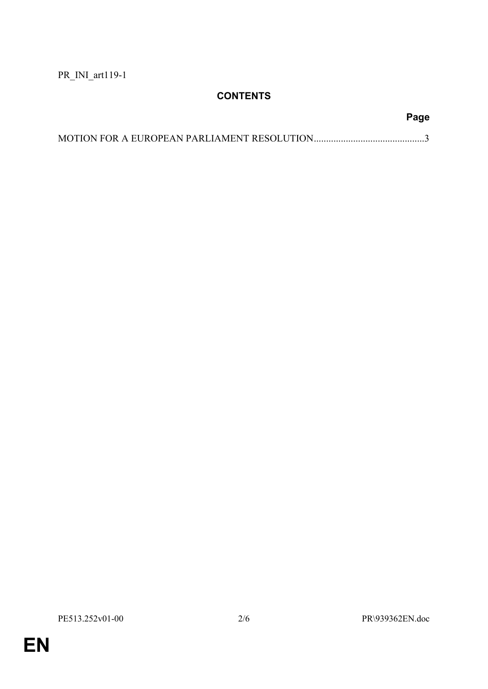PR\_INI\_art119-1

## **CONTENTS**

# **Page**

**EN**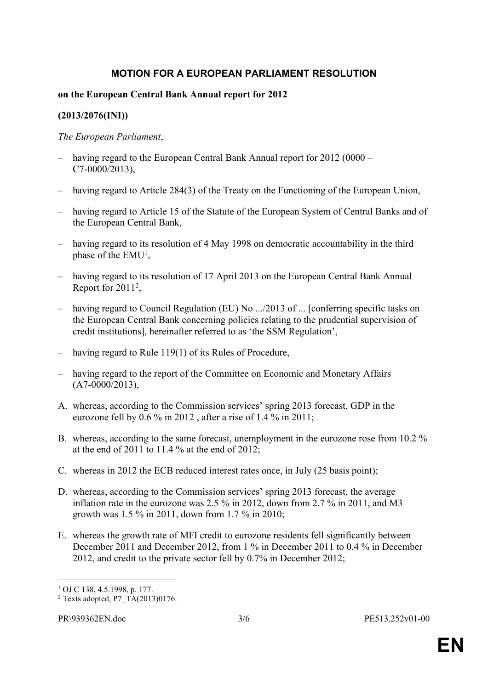### <span id="page-2-0"></span>**MOTION FOR A EUROPEAN PARLIAMENT RESOLUTION**

#### **on the European Central Bank Annual report for 2012**

#### **(2013/2076(INI))**

#### *The European Parliament*,

- having regard to the European Central Bank Annual report for 2012 (0000 C7-0000/2013),
- having regard to Article 284(3) of the Treaty on the Functioning of the European Union,
- having regard to Article 15 of the Statute of the European System of Central Banks and of the European Central Bank,
- having regard to its resolution of 4 May 1998 on democratic accountability in the third phase of the EMU<sup>1</sup>,
- having regard to its resolution of 17 April 2013 on the European Central Bank Annual Report for  $2011<sup>2</sup>$ ,
- having regard to Council Regulation (EU) No .../2013 of ... [conferring specific tasks on the European Central Bank concerning policies relating to the prudential supervision of credit institutions], hereinafter referred to as 'the SSM Regulation',
- having regard to Rule 119(1) of its Rules of Procedure,
- having regard to the report of the Committee on Economic and Monetary Affairs (A7-0000/2013),
- A. whereas, according to the Commission services' spring 2013 forecast, GDP in the eurozone fell by  $0.6\%$  in 2012, after a rise of 1.4 % in 2011;
- B. whereas, according to the same forecast, unemployment in the eurozone rose from 10.2 % at the end of 2011 to  $11.4\%$  at the end of 2012;
- C. whereas in 2012 the ECB reduced interest rates once, in July (25 basis point);
- D. whereas, according to the Commission services' spring 2013 forecast, the average inflation rate in the eurozone was 2.5 % in 2012, down from 2.7 % in 2011, and M3 growth was 1.5 % in 2011, down from 1.7 % in 2010;
- E. whereas the growth rate of MFI credit to eurozone residents fell significantly between December 2011 and December 2012, from 1 % in December 2011 to 0.4 % in December 2012, and credit to the private sector fell by 0.7% in December 2012;

<sup>1</sup> OJ C 138, 4.5.1998, p. 177.

<sup>2</sup> Texts adopted, P7\_TA(2013)0176.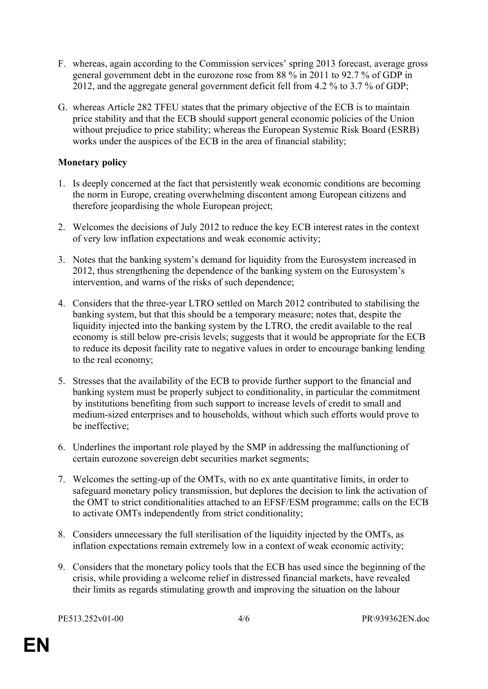- F. whereas, again according to the Commission services' spring 2013 forecast, average gross general government debt in the eurozone rose from 88 % in 2011 to 92.7 % of GDP in 2012, and the aggregate general government deficit fell from 4.2 % to 3.7 % of GDP;
- G. whereas Article 282 TFEU states that the primary objective of the ECB is to maintain price stability and that the ECB should support general economic policies of the Union without prejudice to price stability; whereas the European Systemic Risk Board (ESRB) works under the auspices of the ECB in the area of financial stability;

#### **Monetary policy**

- 1. Is deeply concerned at the fact that persistently weak economic conditions are becoming the norm in Europe, creating overwhelming discontent among European citizens and therefore jeopardising the whole European project;
- 2. Welcomes the decisions of July 2012 to reduce the key ECB interest rates in the context of very low inflation expectations and weak economic activity;
- 3. Notes that the banking system's demand for liquidity from the Eurosystem increased in 2012, thus strengthening the dependence of the banking system on the Eurosystem's intervention, and warns of the risks of such dependence;
- 4. Considers that the three-year LTRO settled on March 2012 contributed to stabilising the banking system, but that this should be a temporary measure; notes that, despite the liquidity injected into the banking system by the LTRO, the credit available to the real economy is still below pre-crisis levels; suggests that it would be appropriate for the ECB to reduce its deposit facility rate to negative values in order to encourage banking lending to the real economy;
- 5. Stresses that the availability of the ECB to provide further support to the financial and banking system must be properly subject to conditionality, in particular the commitment by institutions benefiting from such support to increase levels of credit to small and medium-sized enterprises and to households, without which such efforts would prove to be ineffective;
- 6. Underlines the important role played by the SMP in addressing the malfunctioning of certain eurozone sovereign debt securities market segments;
- 7. Welcomes the setting-up of the OMTs, with no ex ante quantitative limits, in order to safeguard monetary policy transmission, but deplores the decision to link the activation of the OMT to strict conditionalities attached to an EFSF/ESM programme; calls on the ECB to activate OMTs independently from strict conditionality;
- 8. Considers unnecessary the full sterilisation of the liquidity injected by the OMTs, as inflation expectations remain extremely low in a context of weak economic activity;
- 9. Considers that the monetary policy tools that the ECB has used since the beginning of the crisis, while providing a welcome relief in distressed financial markets, have revealed their limits as regards stimulating growth and improving the situation on the labour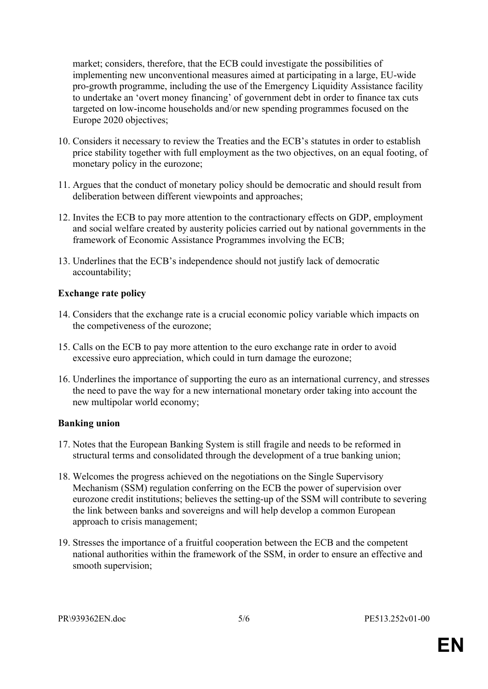market; considers, therefore, that the ECB could investigate the possibilities of implementing new unconventional measures aimed at participating in a large, EU-wide pro-growth programme, including the use of the Emergency Liquidity Assistance facility to undertake an 'overt money financing' of government debt in order to finance tax cuts targeted on low-income households and/or new spending programmes focused on the Europe 2020 objectives;

- 10. Considers it necessary to review the Treaties and the ECB's statutes in order to establish price stability together with full employment as the two objectives, on an equal footing, of monetary policy in the eurozone;
- 11. Argues that the conduct of monetary policy should be democratic and should result from deliberation between different viewpoints and approaches;
- 12. Invites the ECB to pay more attention to the contractionary effects on GDP, employment and social welfare created by austerity policies carried out by national governments in the framework of Economic Assistance Programmes involving the ECB;
- 13. Underlines that the ECB's independence should not justify lack of democratic accountability;

#### **Exchange rate policy**

- 14. Considers that the exchange rate is a crucial economic policy variable which impacts on the competiveness of the eurozone;
- 15. Calls on the ECB to pay more attention to the euro exchange rate in order to avoid excessive euro appreciation, which could in turn damage the eurozone;
- 16. Underlines the importance of supporting the euro as an international currency, and stresses the need to pave the way for a new international monetary order taking into account the new multipolar world economy;

#### **Banking union**

- 17. Notes that the European Banking System is still fragile and needs to be reformed in structural terms and consolidated through the development of a true banking union;
- 18. Welcomes the progress achieved on the negotiations on the Single Supervisory Mechanism (SSM) regulation conferring on the ECB the power of supervision over eurozone credit institutions; believes the setting-up of the SSM will contribute to severing the link between banks and sovereigns and will help develop a common European approach to crisis management;
- 19. Stresses the importance of a fruitful cooperation between the ECB and the competent national authorities within the framework of the SSM, in order to ensure an effective and smooth supervision;